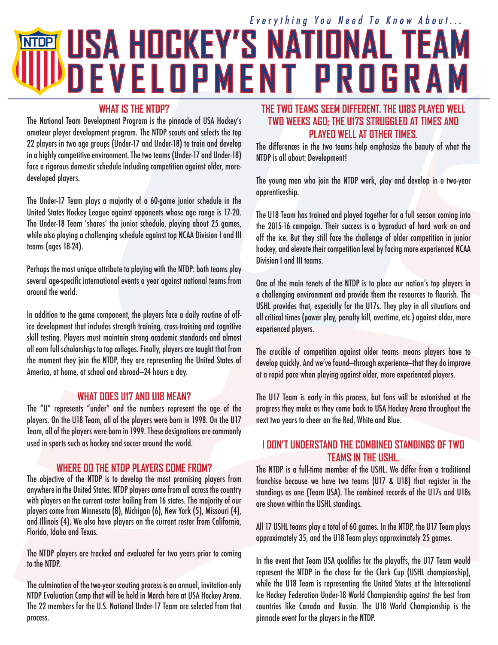# Everything You Need To Know About... **USA HOCKEY'S NATIONAL TEAM DEVELOPMENT PROGRAM**

# **WHAT IS THE NTDP?**

The National Team Development Program is the pinnacle of USA Hockey's amateur player development program. The NTDP scouts and selects the top 22 players in two age groups (Under-17 and Under-18) to train and develop in a highly competitive environment. The two teams (Under-17 and Under-18) face a rigorous domestic schedule including competition against older, moredeveloped players.

The Under-17 Team plays a majority of a 60-game junior schedule in the United States Hockey League against opponents whose age range is 17-20. The Under-18 Team 'shares' the junior schedule, playing about 25 games, while also playing a challenging schedule against top NCAA Division I and III teams (ages 18-24).

Perhaps the most unique attribute to playing with the NTDP: both teams play several age-specific international events a year against national teams from around the world.

In addition to the game component, the players face a daily routine of office development that includes strength training, cross-training and cognitive skill testing. Players must maintain strong academic standards and almost all earn full scholarships to top colleges. Finally, players are taught that from the moment they join the NTDP, they are representing the United States of America, at home, at school and abroad—24 hours a day.

#### **WHAT DOES U17 AND U18 MEAN?**

The "U" represents "under" and the numbers represent the age of the players. On the U18 Team, all of the players were born in 1998. On the U17 Team, all of the players were born in 1999. These designations are commonly used in sports such as hockey and soccer around the world.

#### **WHERE DO THE NTDP PLAYERS COME FROM?**

The objective of the NTDP is to develop the most promising players from anywhere in the United States. NTDP players come from all across the country with players on the current roster hailing from 16 states. The majority of our players come from Minnesota (8), Michigan (6), New York (5), Missouri (4), and Illinois (4). We also have players on the current roster from California, Florida, Idaho and Texas.

The NTDP players are tracked and evaluated for two years prior to coming to the NTDP.

The culmination of the two-year scouting process is an annual, invitation-only NTDP Evaluation Camp that will be held in March here at USA Hockey Arena. The 22 members for the U.S. National Under-17 Team are selected from that process.

# **THE TWO TEAMS SEEM DIFFERENT. THE U18S PLAYED WELL TWO WEEKS AGO; THE U17S STRUGGLED AT TIMES AND PLAYED WELL AT OTHER TIMES.**

The differences in the two teams help emphasize the beauty of what the NTDP is all about: Development!

The young men who join the NTDP work, play and develop in a two-year apprenticeship.

The U18 Team has trained and played together for a full season coming into the 2015-16 campaign. Their success is a byproduct of hard work on and off the ice. But they still face the challenge of older competition in junior hockey, and elevate their competition level by facing more experienced NCAA Division I and III teams.

One of the main tenets of the NTDP is to place our nation's top players in a challenging environment and provide them the resources to flourish. The USHL provides that, especially for the U17s. They play in all situations and all critical times (power play, penalty kill, overtime, etc.) against older, more experienced players.

The crucible of competition against older teams means players have to develop quickly. And we've found—through experience—that they do improve at a rapid pace when playing against older, more experienced players.

The U17 Team is early in this process, but fans will be astonished at the progress they make as they come back to USA Hockey Arena throughout the next two years to cheer on the Red, White and Blue.

# **I DON'T UNDERSTAND THE COMBINED STANDINGS OF TWO TEAMS IN THE USHL.**

The NTDP is a full-time member of the USHL. We differ from a traditional franchise because we have two teams (U17 & U18) that register in the standings as one (Team USA). The combined records of the U17s and U18s are shown within the USHL standings.

All 17 USHL teams play a total of 60 games. In the NTDP, the U17 Team plays approximately 35, and the U18 Team plays approximately 25 games.

In the event that Team USA qualifies for the playoffs, the U17 Team would represent the NTDP in the chase for the Clark Cup (USHL championship), while the U18 Team is representing the United States at the International Ice Hockey Federation Under-18 World Championship against the best from countries like Canada and Russia. The U18 World Championship is the pinnacle event for the players in the NTDP.